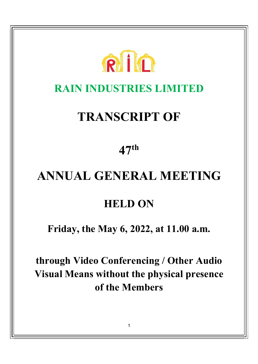

# RAIN INDUSTRIES LIMITED

# TRANSCRIPT OF

47th

# ANNUAL GENERAL MEETING

# HELD ON

Friday, the May 6, 2022, at 11.00 a.m.

through Video Conferencing / Other Audio Visual Means without the physical presence of the Members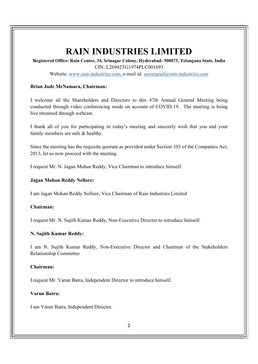# RAIN INDUSTRIES LIMITED

Registered Office: Rain Center, 34, Srinagar Colony, Hyderabad- 500073, Telangana State, India CIN: L26942TG1974PLC001693

Website: www.rain-industries.com, e-mail id: secretarial@rain-industries.com

#### Brian Jude McNamara, Chairman:

I welcome all the Shareholders and Directors to this 47th Annual General Meeting being conducted through video conferencing mode on account of COVID-19. The meeting is being live streamed through webcast.

I thank all of you for participating in today's meeting and sincerely wish that you and your family members are safe & healthy.

Since the meeting has the requisite quorum as provided under Section 103 of the Companies Act, 2013, let us now proceed with the meeting.

I request Mr. N. Jagan Mohan Reddy, Vice Chairman to introduce himself.

#### Jagan Mohan Reddy Nellore:

I am Jagan Mohan Reddy Nellore, Vice Chairman of Rain Industries Limited

# Chairman:

I request Mr. N. Sujith Kumar Reddy, Non-Executive Director to introduce himself.

### N. Sujith Kumar Reddy:

I am N. Sujith Kumar Reddy, Non-Executive Director and Chairman of the Stakeholders Relationship Committee

### Chairman:

I request Mr. Varun Batra, Independent Director to introduce himself.

### Varun Batra:

I am Varun Batra, Independent Director.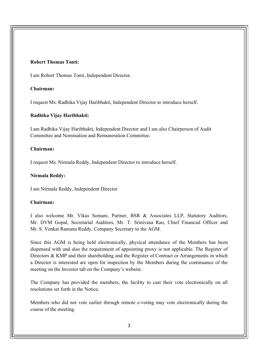# Robert Thomas Tonti:

I am Robert Thomas Tonti, Independent Director.

# Chairman:

I request Ms. Radhika Vijay Haribhakti, Independent Director to introduce herself.

# Radhika Vijay Haribhakti:

I am Radhika Vijay Haribhakti, Independent Director and I am also Chairperson of Audit Committee and Nomination and Remuneration Committee.

# Chairman:

I request Ms. Nirmala Reddy, Independent Director to introduce herself.

# Nirmala Reddy:

I am Nirmala Reddy, Independent Director

### Chairman:

I also welcome Mr. Vikas Somani, Partner, BSR & Associates LLP, Statutory Auditors, Mr. DVM Gopal, Secretarial Auditors, Mr. T. Srinivasa Rao, Chief Financial Officer and Mr. S. Venkat Ramana Reddy, Company Secretary to the AGM.

Since this AGM is being held electronically, physical attendance of the Members has been dispensed with and also the requirement of appointing proxy is not applicable. The Register of Directors & KMP and their shareholding and the Register of Contract or Arrangements in which a Director is interested are open for inspection by the Members during the continuance of the meeting on the Investor tab on the Company's website.

The Company has provided the members, the facility to cast their vote electronically on all resolutions set forth in the Notice.

Members who did not vote earlier through remote e-voting may vote electronically during the course of the meeting.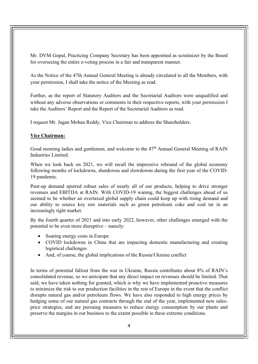Mr. DVM Gopal, Practicing Company Secretary has been appointed as scrutinizer by the Board for overseeing the entire e-voting process in a fair and transparent manner.

As the Notice of the 47th Annual General Meeting is already circulated to all the Members, with your permission, I shall take the notice of the Meeting as read.

Further, as the report of Statutory Auditors and the Secretarial Auditors were unqualified and without any adverse observations or comments in their respective reports, with your permission I take the Auditors' Report and the Report of the Secretarial Auditors as read.

I request Mr. Jagan Mohan Reddy, Vice Chairman to address the Shareholders.

# Vice Chairman:

Good morning ladies and gentlemen, and welcome to the 47<sup>th</sup> Annual General Meeting of RAIN Industries Limited.

When we look back on 2021, we will recall the impressive rebound of the global economy following months of lockdowns, shutdowns and slowdowns during the first year of the COVID-19 pandemic.

Pent-up demand spurred robust sales of nearly all of our products, helping to drive stronger revenues and EBITDA at RAIN. With COVID-19 waning, the biggest challenges ahead of us seemed to be whether an overtaxed global supply chain could keep up with rising demand and our ability to source key raw materials such as green petroleum coke and coal tar in an increasingly tight market.

By the fourth quarter of 2021 and into early 2022, however, other challenges emerged with the potential to be even more disruptive – namely:

- Soaring energy costs in Europe
- COVID lockdowns in China that are impacting domestic manufacturing and creating logistical challenges
- And, of course, the global implications of the Russia/Ukraine conflict

In terms of potential fallout from the war in Ukraine, Russia contributes about 8% of RAIN's consolidated revenue, so we anticipate that any direct impact on revenues should be limited. That said, we have taken nothing for granted, which is why we have implemented proactive measures to minimize the risk to our production facilities in the rest of Europe in the event that the conflict disrupts natural gas and/or petroleum flows. We have also responded to high energy prices by hedging some of our natural gas contracts through the end of the year, implemented new salesprice strategies, and are pursuing measures to reduce energy consumption by our plants and preserve the margins in our business to the extent possible in these extreme conditions.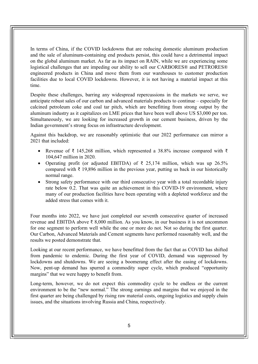In terms of China, if the COVID lockdowns that are reducing domestic aluminum production and the sale of aluminum-containing end products persist, this could have a detrimental impact on the global aluminum market. As far as its impact on RAIN, while we are experiencing some logistical challenges that are impeding our ability to sell our CARBORES® and PETRORES® engineered products in China and move them from our warehouses to customer production facilities due to local COVID lockdowns. However, it is not having a material impact at this time.

Despite these challenges, barring any widespread repercussions in the markets we serve, we anticipate robust sales of our carbon and advanced materials products to continue – especially for calcined petroleum coke and coal tar pitch, which are benefitting from strong output by the aluminum industry as it capitalizes on LME prices that have been well above US \$3,000 per ton. Simultaneously, we are looking for increased growth in our cement business, driven by the Indian government's strong focus on infrastructure development.

Against this backdrop, we are reasonably optimistic that our 2022 performance can mirror a 2021 that included:

- Revenue of  $\bar{\xi}$  145,268 million, which represented a 38.8% increase compared with  $\bar{\xi}$ 104,647 million in 2020.
- Operating profit (or adjusted EBITDA) of  $\bar{\tau}$  25,174 million, which was up 26.5% compared with ₹ 19,896 million in the previous year, putting us back in our historically normal range.
- Strong safety performance with our third consecutive year with a total recordable injury rate below 0.2. That was quite an achievement in this COVID-19 environment, where many of our production facilities have been operating with a depleted workforce and the added stress that comes with it.

Four months into 2022, we have just completed our seventh consecutive quarter of increased revenue and EBITDA above ₹ 8,000 million. As you know, in our business it is not uncommon for one segment to perform well while the one or more do not. Not so during the first quarter. Our Carbon, Advanced Materials and Cement segments have performed reasonably well, and the results we posted demonstrate that.

Looking at our recent performance, we have benefitted from the fact that as COVID has shifted from pandemic to endemic. During the first year of COVID, demand was suppressed by lockdowns and shutdowns. We are seeing a boomerang effect after the easing of lockdowns. Now, pent-up demand has spurred a commodity super cycle, which produced "opportunity margins" that we were happy to benefit from.

Long-term, however, we do not expect this commodity cycle to be endless or the current environment to be the "new normal." The strong earnings and margins that we enjoyed in the first quarter are being challenged by rising raw material costs, ongoing logistics and supply chain issues, and the situations involving Russia and China, respectively.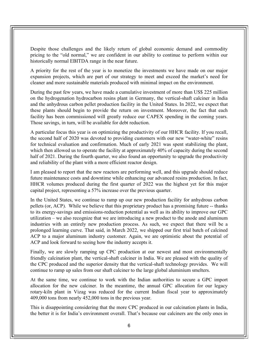Despite those challenges and the likely return of global economic demand and commodity pricing to the "old normal," we are confident in our ability to continue to perform within our historically normal EBITDA range in the near future.

A priority for the rest of the year is to monetize the investments we have made on our major expansion projects, which are part of our strategy to meet and exceed the market's need for cleaner and more sustainable materials produced with minimal impact on the environment.

During the past few years, we have made a cumulative investment of more than US\$ 225 million on the hydrogenation hydrocarbon resins plant in Germany, the vertical-shaft calciner in India and the anhydrous carbon pellet production facility in the United States. In 2022, we expect that these plants should begin to provide the return on investment. Moreover, the fact that each facility has been commissioned will greatly reduce our CAPEX spending in the coming years. Those savings, in turn, will be available for debt reduction.

A particular focus this year is on optimizing the productivity of our HHCR facility. If you recall, the second half of 2020 was devoted to providing customers with our new "water-white" resins for technical evaluation and confirmation. Much of early 2021 was spent stabilizing the plant, which then allowed us to operate the facility at approximately 40% of capacity during the second half of 2021. During the fourth quarter, we also found an opportunity to upgrade the productivity and reliability of the plant with a more efficient reactor design.

I am pleased to report that the new reactors are performing well, and this upgrade should reduce future maintenance costs and downtime while enhancing our advanced resins production. In fact, HHCR volumes produced during the first quarter of 2022 was the highest yet for this major capital project, representing a 57% increase over the previous quarter.

In the United States, we continue to ramp up our new production facility for anhydrous carbon pellets (or, ACP). While we believe that this proprietary product has a promising future -- thanks to its energy-savings and emissions-reduction potential as well as its ability to improve our GPC utilization – we also recognize that we are introducing a new product to the anode and aluminum industries with an entirely new production process. As such, we expect that there will be a prolonged learning curve. That said, in March 2022, we shipped our first trial batch of calcined ACP to a major aluminum industry customer. Again, we are optimistic about the potential of ACP and look forward to seeing how the industry accepts it.

Finally, we are slowly ramping up CPC production at our newest and most environmentally friendly calcination plant, the vertical-shaft calciner in India. We are pleased with the quality of the CPC produced and the superior density that the vertical-shaft technology provides. We will continue to ramp up sales from our shaft calciner to the large global aluminium smelters.

At the same time, we continue to work with the Indian authorities to secure a GPC import allocation for the new calciner. In the meantime, the annual GPC allocation for our legacy rotary-kiln plant in Vizag was reduced for the current Indian fiscal year to approximately 409,000 tons from nearly 452,000 tons in the previous year.

This is disappointing considering that the more CPC produced in our calcination plants in India, the better it is for India's environment overall. That's because our calciners are the only ones in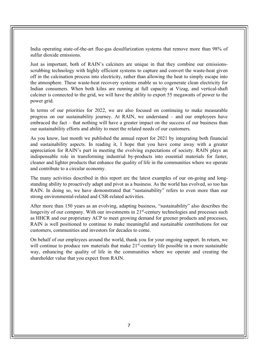India operating state-of-the-art flue-gas desulfurization systems that remove more than 98% of sulfur dioxide emissions.

Just as important, both of RAIN's calciners are unique in that they combine our emissionsscrubbing technology with highly efficient systems to capture and convert the waste-heat given off in the calcination process into electricity, rather than allowing the heat to simply escape into the atmosphere. These waste-heat recovery systems enable us to cogenerate clean electricity for Indian consumers. When both kilns are running at full capacity at Vizag, and vertical-shaft calciner is connected to the grid, we will have the ability to export 55 megawatts of power to the power grid.

In terms of our priorities for 2022, we are also focused on continuing to make measurable progress on our sustainability journey. At RAIN, we understand – and our employees have embraced the fact – that nothing will have a greater impact on the success of our business than our sustainability efforts and ability to meet the related needs of our customers.

As you know, last month we published the annual report for 2021 by integrating both financial and sustainability aspects. In reading it, I hope that you have come away with a greater appreciation for RAIN's part in meeting the evolving expectations of society. RAIN plays an indispensable role in transforming industrial by-products into essential materials for faster, cleaner and lighter products that enhance the quality of life in the communities where we operate and contribute to a circular economy.

The many activities described in this report are the latest examples of our on-going and longstanding ability to proactively adapt and pivot as a business. As the world has evolved, so too has RAIN. In doing so, we have demonstrated that "sustainability" refers to even more than our strong environmental-related and CSR-related activities.

After more than 150 years as an evolving, adapting business, "sustainability" also describes the longevity of our company. With our investments in  $21<sup>st</sup>$ -century technologies and processes such as HHCR and our proprietary ACP to meet growing demand for greener products and processes, RAIN is well positioned to continue to make meaningful and sustainable contributions for our customers, communities and investors for decades to come.

On behalf of our employees around the world, thank you for your ongoing support. In return, we will continue to produce raw materials that make 21<sup>st</sup>-century life possible in a more sustainable way, enhancing the quality of life in the communities where we operate and creating the shareholder value that you expect from RAIN.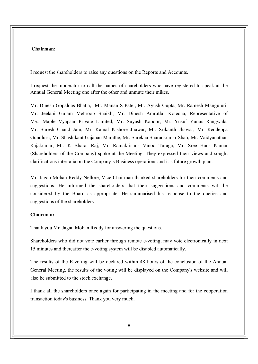#### Chairman:

I request the shareholders to raise any questions on the Reports and Accounts.

I request the moderator to call the names of shareholders who have registered to speak at the Annual General Meeting one after the other and unmute their mikes.

Mr. Dinesh Gopaldas Bhatia, Mr. Manan S Patel, Mr. Ayush Gupta, Mr. Ramesh Manguluri, Mr. Jeelani Gulam Mehroob Shaikh, Mr. Dinesh Amrutlal Kotecha, Representative of M/s. Maple Vyapaar Private Limited, Mr. Suyash Kapoor, Mr. Yusuf Yunus Rangwala, Mr. Suresh Chand Jain, Mr. Kamal Kishore Jhawar, Mr. Srikanth Jhawar, Mr. Reddeppa Gundluru, Mr. Shashikant Gajanan Marathe, Mr. Surekha Sharadkumar Shah, Mr. Vaidyanathan Rajakumar, Mr. K Bharat Raj, Mr. Ramakrishna Vinod Turaga, Mr. Sree Hans Kumar (Shareholders of the Company) spoke at the Meeting. They expressed their views and sought clarifications inter-alia on the Company's Business operations and it's future growth plan.

Mr. Jagan Mohan Reddy Nellore, Vice Chairman thanked shareholders for their comments and suggestions. He informed the shareholders that their suggestions and comments will be considered by the Board as appropriate. He summarised his response to the queries and suggestions of the shareholders.

#### Chairman:

Thank you Mr. Jagan Mohan Reddy for answering the questions.

Shareholders who did not vote earlier through remote e-voting, may vote electronically in next 15 minutes and thereafter the e-voting system will be disabled automatically.

The results of the E-voting will be declared within 48 hours of the conclusion of the Annual General Meeting, the results of the voting will be displayed on the Company's website and will also be submitted to the stock exchange.

I thank all the shareholders once again for participating in the meeting and for the cooperation transaction today's business. Thank you very much.